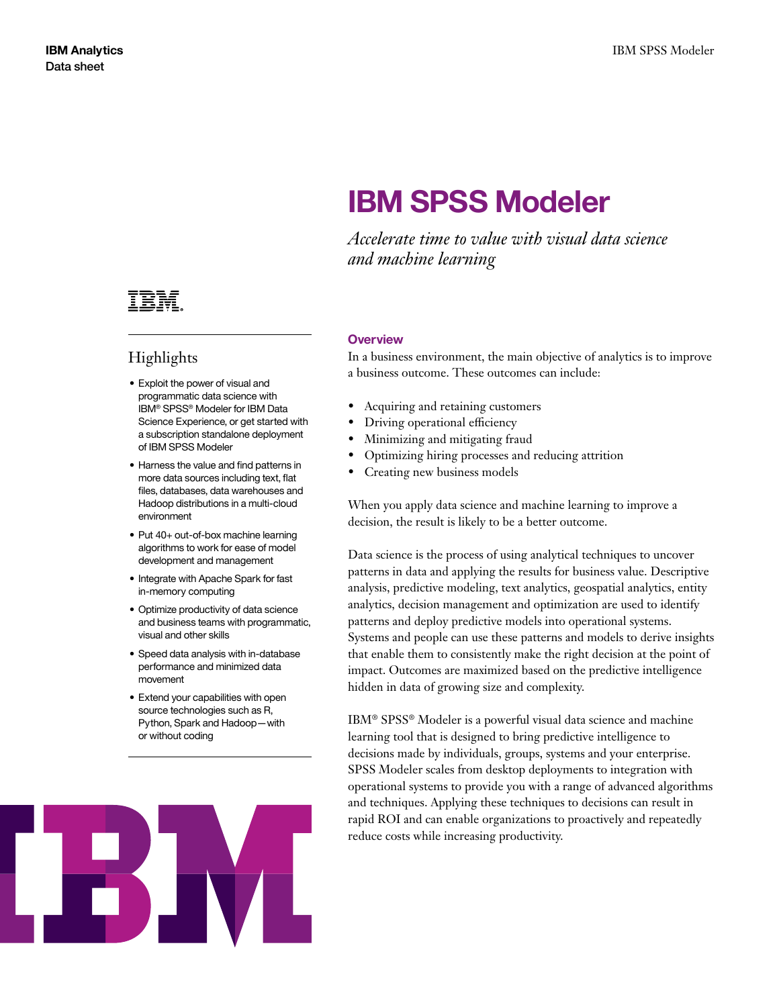# **IBM SPSS Modeler**

*Accelerate time to value with visual data science and machine learning*

#### **Overview**

In a business environment, the main objective of analytics is to improve a business outcome. These outcomes can include:

- Acquiring and retaining customers
- Driving operational efficiency
- Minimizing and mitigating fraud
- Optimizing hiring processes and reducing attrition
- Creating new business models

When you apply data science and machine learning to improve a decision, the result is likely to be a better outcome.

Data science is the process of using analytical techniques to uncover patterns in data and applying the results for business value. Descriptive analysis, predictive modeling, text analytics, geospatial analytics, entity analytics, decision management and optimization are used to identify patterns and deploy predictive models into operational systems. Systems and people can use these patterns and models to derive insights that enable them to consistently make the right decision at the point of impact. Outcomes are maximized based on the predictive intelligence hidden in data of growing size and complexity.

IBM® SPSS® Modeler is a powerful visual data science and machine learning tool that is designed to bring predictive intelligence to decisions made by individuals, groups, systems and your enterprise. SPSS Modeler scales from desktop deployments to integration with operational systems to provide you with a range of advanced algorithms and techniques. Applying these techniques to decisions can result in rapid ROI and can enable organizations to proactively and repeatedly reduce costs while increasing productivity.

# Highlights

- Exploit the power of visual and programmatic data science with IBM® SPSS® Modeler for IBM Data Science Experience, or get started with a subscription standalone deployment of IBM SPSS Modeler
- Harness the value and find patterns in more data sources including text, flat files, databases, data warehouses and Hadoop distributions in a multi-cloud environment
- Put 40+ out-of-box machine learning algorithms to work for ease of model development and management
- Integrate with Apache Spark for fast in-memory computing
- Optimize productivity of data science and business teams with programmatic, visual and other skills
- Speed data analysis with in-database performance and minimized data movement
- Extend your capabilities with open source technologies such as R, Python, Spark and Hadoop—with or without coding

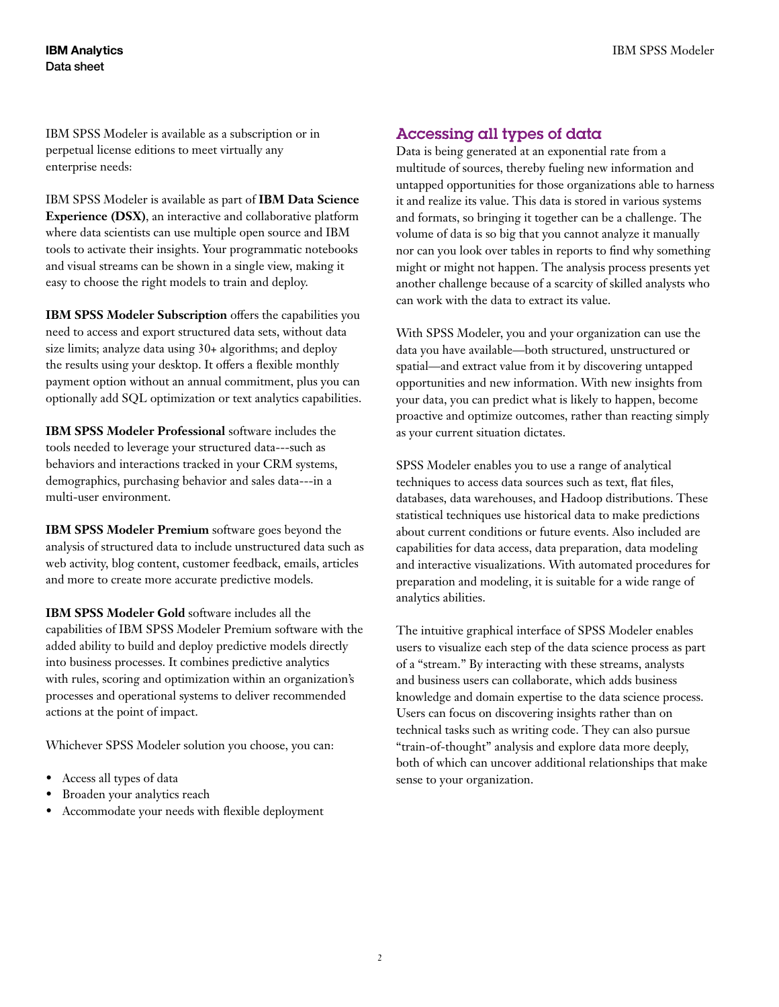IBM SPSS Modeler is available as a subscription or in perpetual license editions to meet virtually any enterprise needs:

IBM SPSS Modeler is available as part of **IBM Data Science Experience (DSX)**, an interactive and collaborative platform where data scientists can use multiple open source and IBM tools to activate their insights. Your programmatic notebooks and visual streams can be shown in a single view, making it easy to choose the right models to train and deploy.

**IBM SPSS Modeler Subscription** offers the capabilities you need to access and export structured data sets, without data size limits; analyze data using 30+ algorithms; and deploy the results using your desktop. It offers a flexible monthly payment option without an annual commitment, plus you can optionally add SQL optimization or text analytics capabilities.

**IBM SPSS Modeler Professional** software includes the tools needed to leverage your structured data---such as behaviors and interactions tracked in your CRM systems, demographics, purchasing behavior and sales data---in a multi-user environment.

**IBM SPSS Modeler Premium** software goes beyond the analysis of structured data to include unstructured data such as web activity, blog content, customer feedback, emails, articles and more to create more accurate predictive models.

**IBM SPSS Modeler Gold** software includes all the capabilities of IBM SPSS Modeler Premium software with the added ability to build and deploy predictive models directly into business processes. It combines predictive analytics with rules, scoring and optimization within an organization's processes and operational systems to deliver recommended actions at the point of impact.

Whichever SPSS Modeler solution you choose, you can:

- Access all types of data
- Broaden your analytics reach
- Accommodate your needs with flexible deployment

#### Accessing all types of data

Data is being generated at an exponential rate from a multitude of sources, thereby fueling new information and untapped opportunities for those organizations able to harness it and realize its value. This data is stored in various systems and formats, so bringing it together can be a challenge. The volume of data is so big that you cannot analyze it manually nor can you look over tables in reports to find why something might or might not happen. The analysis process presents yet another challenge because of a scarcity of skilled analysts who can work with the data to extract its value.

With SPSS Modeler, you and your organization can use the data you have available—both structured, unstructured or spatial—and extract value from it by discovering untapped opportunities and new information. With new insights from your data, you can predict what is likely to happen, become proactive and optimize outcomes, rather than reacting simply as your current situation dictates.

SPSS Modeler enables you to use a range of analytical techniques to access data sources such as text, flat files, databases, data warehouses, and Hadoop distributions. These statistical techniques use historical data to make predictions about current conditions or future events. Also included are capabilities for data access, data preparation, data modeling and interactive visualizations. With automated procedures for preparation and modeling, it is suitable for a wide range of analytics abilities.

The intuitive graphical interface of SPSS Modeler enables users to visualize each step of the data science process as part of a "stream." By interacting with these streams, analysts and business users can collaborate, which adds business knowledge and domain expertise to the data science process. Users can focus on discovering insights rather than on technical tasks such as writing code. They can also pursue "train-of-thought" analysis and explore data more deeply, both of which can uncover additional relationships that make sense to your organization.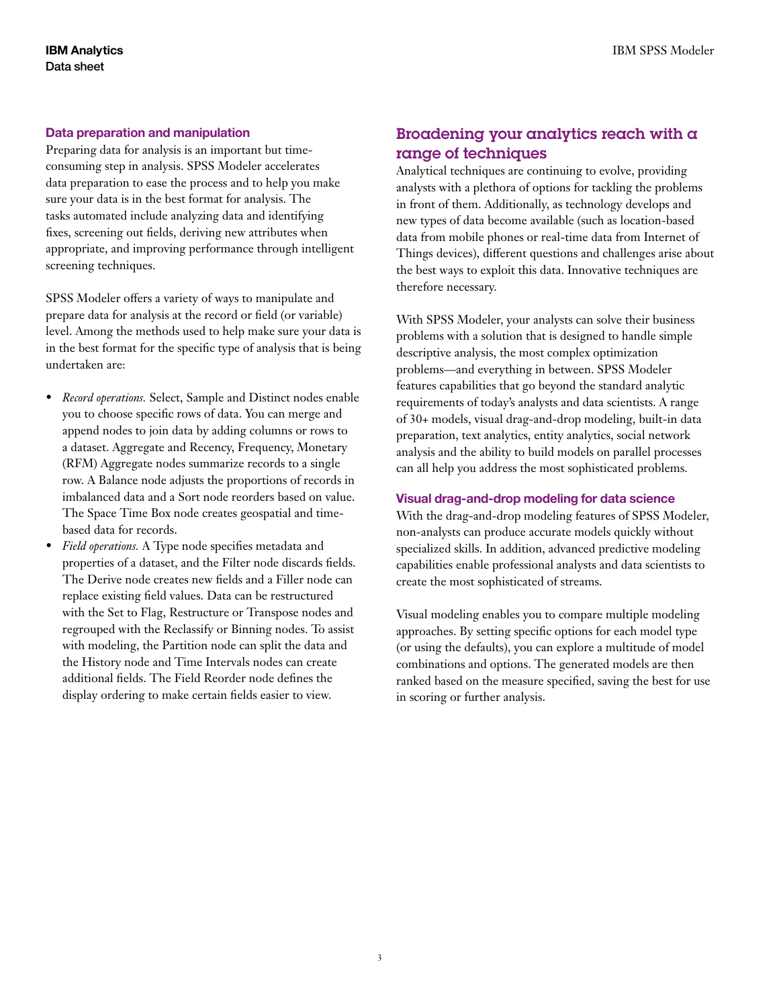#### **Data preparation and manipulation**

Preparing data for analysis is an important but timeconsuming step in analysis. SPSS Modeler accelerates data preparation to ease the process and to help you make sure your data is in the best format for analysis. The tasks automated include analyzing data and identifying fixes, screening out fields, deriving new attributes when appropriate, and improving performance through intelligent screening techniques.

SPSS Modeler offers a variety of ways to manipulate and prepare data for analysis at the record or field (or variable) level. Among the methods used to help make sure your data is in the best format for the specific type of analysis that is being undertaken are:

- *Record operations.* Select, Sample and Distinct nodes enable you to choose specific rows of data. You can merge and append nodes to join data by adding columns or rows to a dataset. Aggregate and Recency, Frequency, Monetary (RFM) Aggregate nodes summarize records to a single row. A Balance node adjusts the proportions of records in imbalanced data and a Sort node reorders based on value. The Space Time Box node creates geospatial and timebased data for records.
- *Field operations.* A Type node specifies metadata and properties of a dataset, and the Filter node discards fields. The Derive node creates new fields and a Filler node can replace existing field values. Data can be restructured with the Set to Flag, Restructure or Transpose nodes and regrouped with the Reclassify or Binning nodes. To assist with modeling, the Partition node can split the data and the History node and Time Intervals nodes can create additional fields. The Field Reorder node defines the display ordering to make certain fields easier to view.

# Broadening your analytics reach with a range of techniques

Analytical techniques are continuing to evolve, providing analysts with a plethora of options for tackling the problems in front of them. Additionally, as technology develops and new types of data become available (such as location-based data from mobile phones or real-time data from Internet of Things devices), different questions and challenges arise about the best ways to exploit this data. Innovative techniques are therefore necessary.

With SPSS Modeler, your analysts can solve their business problems with a solution that is designed to handle simple descriptive analysis, the most complex optimization problems—and everything in between. SPSS Modeler features capabilities that go beyond the standard analytic requirements of today's analysts and data scientists. A range of 30+ models, visual drag-and-drop modeling, built-in data preparation, text analytics, entity analytics, social network analysis and the ability to build models on parallel processes can all help you address the most sophisticated problems.

#### **Visual drag-and-drop modeling for data science**

With the drag-and-drop modeling features of SPSS Modeler, non-analysts can produce accurate models quickly without specialized skills. In addition, advanced predictive modeling capabilities enable professional analysts and data scientists to create the most sophisticated of streams.

Visual modeling enables you to compare multiple modeling approaches. By setting specific options for each model type (or using the defaults), you can explore a multitude of model combinations and options. The generated models are then ranked based on the measure specified, saving the best for use in scoring or further analysis.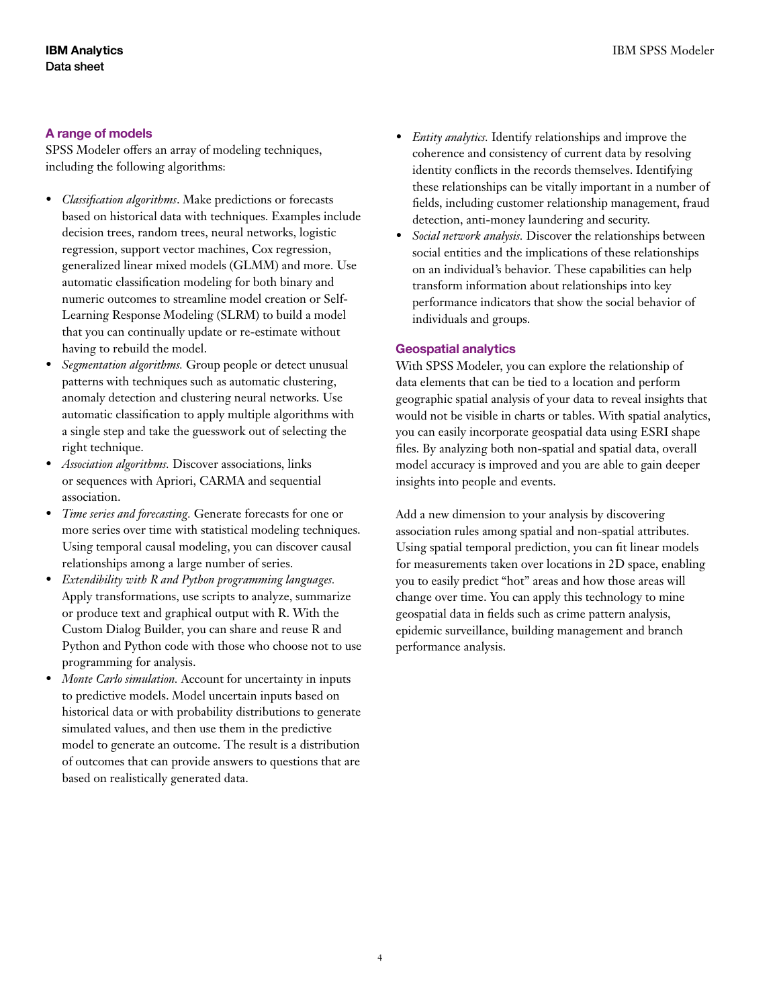#### **A range of models**

SPSS Modeler offers an array of modeling techniques, including the following algorithms:

- *Classification algorithms*. Make predictions or forecasts based on historical data with techniques. Examples include decision trees, random trees, neural networks, logistic regression, support vector machines, Cox regression, generalized linear mixed models (GLMM) and more. Use automatic classification modeling for both binary and numeric outcomes to streamline model creation or Self-Learning Response Modeling (SLRM) to build a model that you can continually update or re-estimate without having to rebuild the model.
- *Segmentation algorithms.* Group people or detect unusual patterns with techniques such as automatic clustering, anomaly detection and clustering neural networks. Use automatic classification to apply multiple algorithms with a single step and take the guesswork out of selecting the right technique.
- *Association algorithms.* Discover associations, links or sequences with Apriori, CARMA and sequential association.
- *Time series and forecasting.* Generate forecasts for one or more series over time with statistical modeling techniques. Using temporal causal modeling, you can discover causal relationships among a large number of series.
- *Extendibility with R and Python programming languages.*  Apply transformations, use scripts to analyze, summarize or produce text and graphical output with R. With the Custom Dialog Builder, you can share and reuse R and Python and Python code with those who choose not to use programming for analysis.
- *Monte Carlo simulation.* Account for uncertainty in inputs to predictive models. Model uncertain inputs based on historical data or with probability distributions to generate simulated values, and then use them in the predictive model to generate an outcome. The result is a distribution of outcomes that can provide answers to questions that are based on realistically generated data.
- *Entity analytics.* Identify relationships and improve the coherence and consistency of current data by resolving identity conflicts in the records themselves. Identifying these relationships can be vitally important in a number of fields, including customer relationship management, fraud detection, anti-money laundering and security.
- *Social network analysis.* Discover the relationships between social entities and the implications of these relationships on an individual's behavior. These capabilities can help transform information about relationships into key performance indicators that show the social behavior of individuals and groups.

#### **Geospatial analytics**

With SPSS Modeler, you can explore the relationship of data elements that can be tied to a location and perform geographic spatial analysis of your data to reveal insights that would not be visible in charts or tables. With spatial analytics, you can easily incorporate geospatial data using ESRI shape files. By analyzing both non-spatial and spatial data, overall model accuracy is improved and you are able to gain deeper insights into people and events.

Add a new dimension to your analysis by discovering association rules among spatial and non-spatial attributes. Using spatial temporal prediction, you can fit linear models for measurements taken over locations in 2D space, enabling you to easily predict "hot" areas and how those areas will change over time. You can apply this technology to mine geospatial data in fields such as crime pattern analysis, epidemic surveillance, building management and branch performance analysis.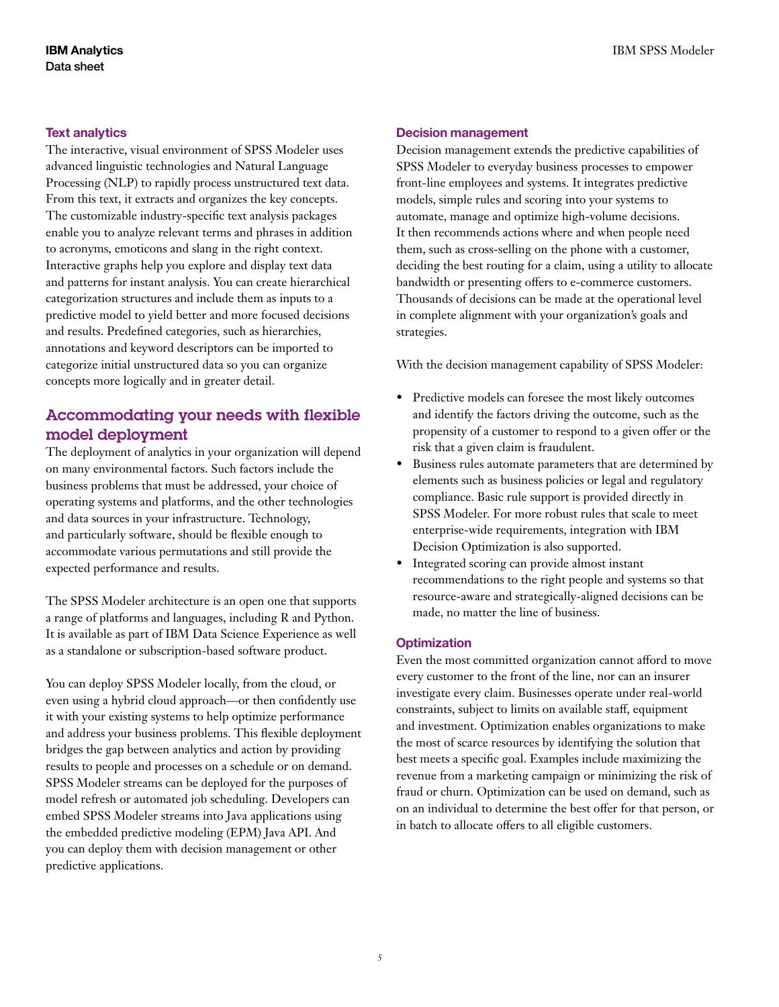#### **Text analytics**

The interactive, visual environment of SPSS Modeler uses advanced linguistic technologies and Natural Language Processing (NLP) to rapidly process unstructured text data. From this text, it extracts and organizes the key concepts. The customizable industry-specific text analysis packages enable you to analyze relevant terms and phrases in addition to acronyms, emoticons and slang in the right context. Interactive graphs help you explore and display text data and patterns for instant analysis. You can create hierarchical categorization structures and include them as inputs to a predictive model to yield better and more focused decisions and results. Predefined categories, such as hierarchies, annotations and keyword descriptors can be imported to categorize initial unstructured data so you can organize concepts more logically and in greater detail.

# Accommodating your needs with flexible model deployment

The deployment of analytics in your organization will depend on many environmental factors. Such factors include the business problems that must be addressed, your choice of operating systems and platforms, and the other technologies and data sources in your infrastructure. Technology, and particularly software, should be flexible enough to accommodate various permutations and still provide the expected performance and results.

The SPSS Modeler architecture is an open one that supports a range of platforms and languages, including R and Python. It is available as part of IBM Data Science Experience as well as a standalone or subscription-based software product.

You can deploy SPSS Modeler locally, from the cloud, or even using a hybrid cloud approach—or then confidently use it with your existing systems to help optimize performance and address your business problems. This flexible deployment bridges the gap between analytics and action by providing results to people and processes on a schedule or on demand. SPSS Modeler streams can be deployed for the purposes of model refresh or automated job scheduling. Developers can embed SPSS Modeler streams into Java applications using the embedded predictive modeling (EPM) Java API. And you can deploy them with decision management or other predictive applications.

#### **Decision management**

Decision management extends the predictive capabilities of SPSS Modeler to everyday business processes to empower front-line employees and systems. It integrates predictive models, simple rules and scoring into your systems to automate, manage and optimize high-volume decisions. It then recommends actions where and when people need them, such as cross-selling on the phone with a customer, deciding the best routing for a claim, using a utility to allocate bandwidth or presenting offers to e-commerce customers. Thousands of decisions can be made at the operational level in complete alignment with your organization's goals and strategies.

With the decision management capability of SPSS Modeler:

- Predictive models can foresee the most likely outcomes and identify the factors driving the outcome, such as the propensity of a customer to respond to a given offer or the risk that a given claim is fraudulent.
- Business rules automate parameters that are determined by elements such as business policies or legal and regulatory compliance. Basic rule support is provided directly in SPSS Modeler. For more robust rules that scale to meet enterprise-wide requirements, integration with IBM Decision Optimization is also supported.
- Integrated scoring can provide almost instant recommendations to the right people and systems so that resource-aware and strategically-aligned decisions can be made, no matter the line of business.

#### **Optimization**

Even the most committed organization cannot afford to move every customer to the front of the line, nor can an insurer investigate every claim. Businesses operate under real-world constraints, subject to limits on available staff, equipment and investment. Optimization enables organizations to make the most of scarce resources by identifying the solution that best meets a specific goal. Examples include maximizing the revenue from a marketing campaign or minimizing the risk of fraud or churn. Optimization can be used on demand, such as on an individual to determine the best offer for that person, or in batch to allocate offers to all eligible customers.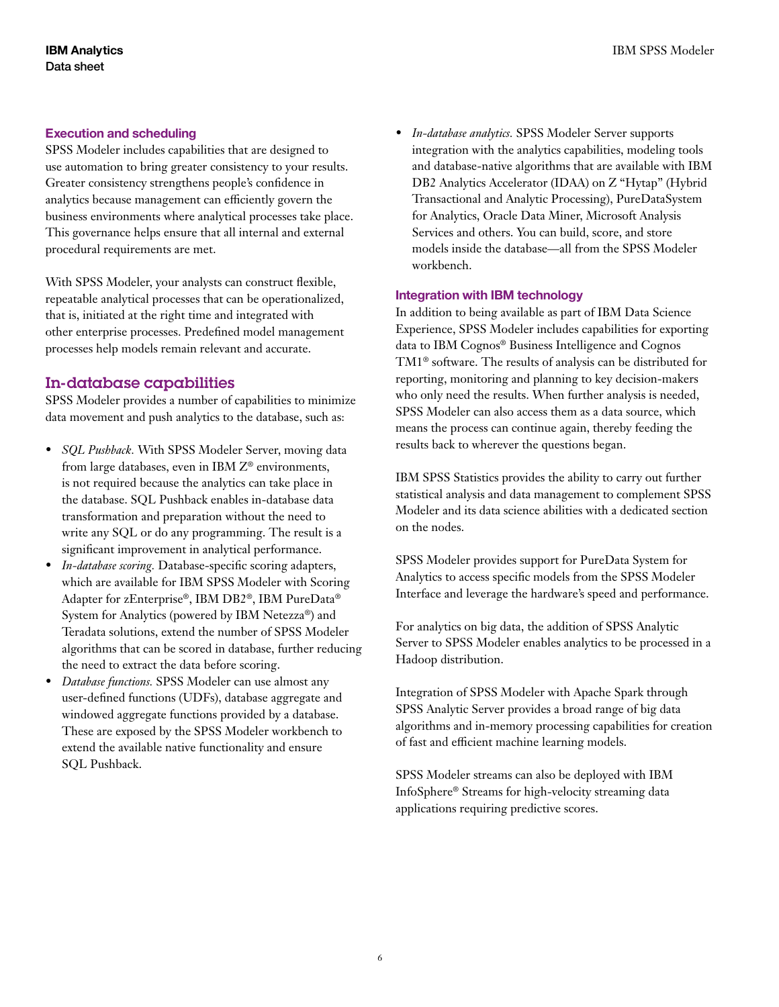#### **Execution and scheduling**

SPSS Modeler includes capabilities that are designed to use automation to bring greater consistency to your results. Greater consistency strengthens people's confidence in analytics because management can efficiently govern the business environments where analytical processes take place. This governance helps ensure that all internal and external procedural requirements are met.

With SPSS Modeler, your analysts can construct flexible, repeatable analytical processes that can be operationalized, that is, initiated at the right time and integrated with other enterprise processes. Predefined model management processes help models remain relevant and accurate.

### In-database capabilities

SPSS Modeler provides a number of capabilities to minimize data movement and push analytics to the database, such as:

- *SQL Pushback.* With SPSS Modeler Server, moving data from large databases, even in IBM Z® environments, is not required because the analytics can take place in the database. SQL Pushback enables in-database data transformation and preparation without the need to write any SQL or do any programming. The result is a significant improvement in analytical performance.
- *In-database scoring.* Database-specific scoring adapters, which are available for IBM SPSS Modeler with Scoring Adapter for zEnterprise®, IBM DB2®, IBM PureData® System for Analytics (powered by IBM Netezza®) and Teradata solutions, extend the number of SPSS Modeler algorithms that can be scored in database, further reducing the need to extract the data before scoring.
- *Database functions.* SPSS Modeler can use almost any user-defined functions (UDFs), database aggregate and windowed aggregate functions provided by a database. These are exposed by the SPSS Modeler workbench to extend the available native functionality and ensure SQL Pushback.

• *In-database analytics.* SPSS Modeler Server supports integration with the analytics capabilities, modeling tools and database-native algorithms that are available with IBM DB2 Analytics Accelerator (IDAA) on Z "Hytap" (Hybrid Transactional and Analytic Processing), PureDataSystem for Analytics, Oracle Data Miner, Microsoft Analysis Services and others. You can build, score, and store models inside the database—all from the SPSS Modeler workbench.

#### **Integration with IBM technology**

In addition to being available as part of IBM Data Science Experience, SPSS Modeler includes capabilities for exporting data to IBM Cognos® Business Intelligence and Cognos TM1® software. The results of analysis can be distributed for reporting, monitoring and planning to key decision-makers who only need the results. When further analysis is needed, SPSS Modeler can also access them as a data source, which means the process can continue again, thereby feeding the results back to wherever the questions began.

IBM SPSS Statistics provides the ability to carry out further statistical analysis and data management to complement SPSS Modeler and its data science abilities with a dedicated section on the nodes.

SPSS Modeler provides support for PureData System for Analytics to access specific models from the SPSS Modeler Interface and leverage the hardware's speed and performance.

For analytics on big data, the addition of SPSS Analytic Server to SPSS Modeler enables analytics to be processed in a Hadoop distribution.

Integration of SPSS Modeler with Apache Spark through SPSS Analytic Server provides a broad range of big data algorithms and in-memory processing capabilities for creation of fast and efficient machine learning models.

SPSS Modeler streams can also be deployed with IBM InfoSphere® Streams for high-velocity streaming data applications requiring predictive scores.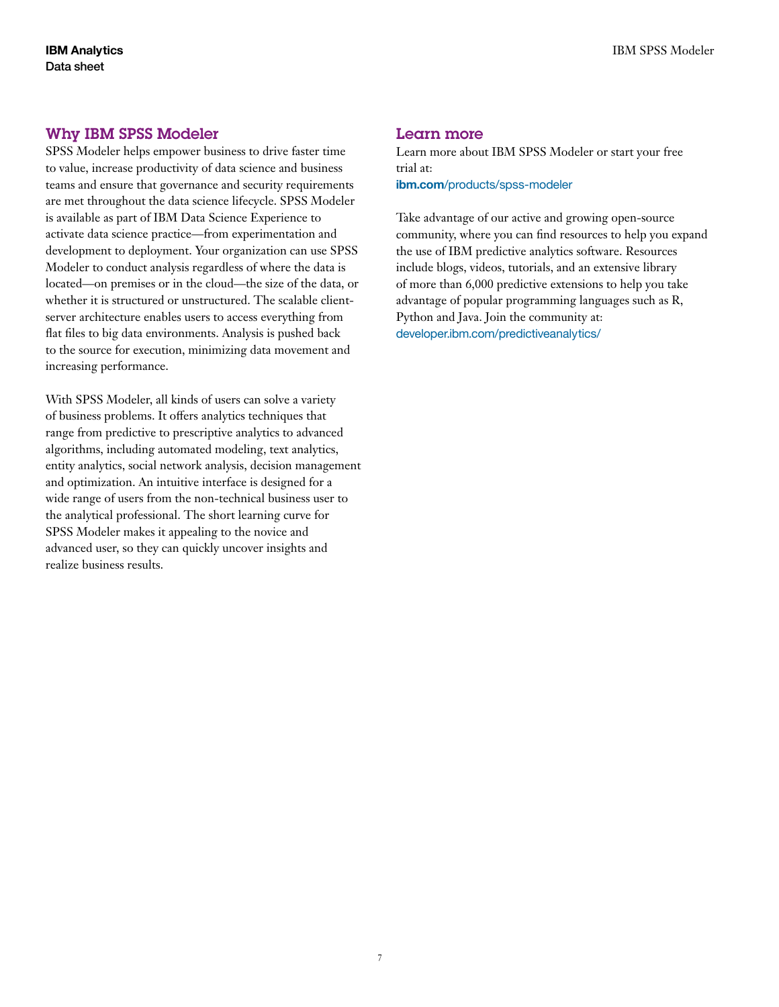### Why IBM SPSS Modeler

SPSS Modeler helps empower business to drive faster time to value, increase productivity of data science and business teams and ensure that governance and security requirements are met throughout the data science lifecycle. SPSS Modeler is available as part of IBM Data Science Experience to activate data science practice—from experimentation and development to deployment. Your organization can use SPSS Modeler to conduct analysis regardless of where the data is located—on premises or in the cloud—the size of the data, or whether it is structured or unstructured. The scalable clientserver architecture enables users to access everything from flat files to big data environments. Analysis is pushed back to the source for execution, minimizing data movement and increasing performance.

With SPSS Modeler, all kinds of users can solve a variety of business problems. It offers analytics techniques that range from predictive to prescriptive analytics to advanced algorithms, including automated modeling, text analytics, entity analytics, social network analysis, decision management and optimization. An intuitive interface is designed for a wide range of users from the non-technical business user to the analytical professional. The short learning curve for SPSS Modeler makes it appealing to the novice and advanced user, so they can quickly uncover insights and realize business results.

#### Learn more

Learn more about IBM SPSS Modeler or start your free trial at: **ibm.com**[/products/spss-modeler](https://www.ibm.com/products/spss-modeler)

Take advantage of our active and growing open-source community, where you can find resources to help you expand the use of IBM predictive analytics software. Resources include blogs, videos, tutorials, and an extensive library of more than 6,000 predictive extensions to help you take advantage of popular programming languages such as R, Python and Java. Join the community at: [developer.ibm.com/predictiveanalytics/](https://developer.ibm.com/predictiveanalytics/)